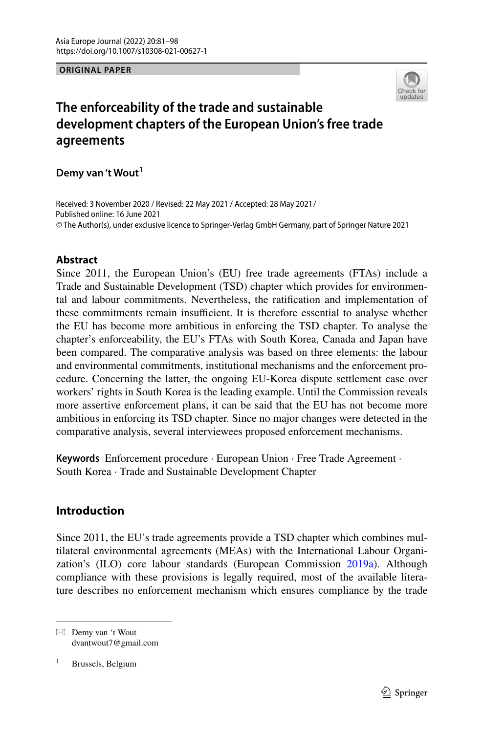#### **ORIGINAL PAPER**



# **The enforceability of the trade and sustainable development chapters of the European Union's free trade agreements**

**Demy van 't Wout<sup>1</sup>**

Received: 3 November 2020 / Revised: 22 May 2021 / Accepted: 28 May 2021 /© The Author(s), under exclusive licence to Springer-Verlag GmbH Germany, part of Springer Nature 2021 Published online: 16 June 2021

# **Abstract**

Since 2011, the European Union's (EU) free trade agreements (FTAs) include a Trade and Sustainable Development (TSD) chapter which provides for environmental and labour commitments. Nevertheless, the ratifcation and implementation of these commitments remain insufficient. It is therefore essential to analyse whether the EU has become more ambitious in enforcing the TSD chapter. To analyse the chapter's enforceability, the EU's FTAs with South Korea, Canada and Japan have been compared. The comparative analysis was based on three elements: the labour and environmental commitments, institutional mechanisms and the enforcement procedure. Concerning the latter, the ongoing EU-Korea dispute settlement case over workers' rights in South Korea is the leading example. Until the Commission reveals more assertive enforcement plans, it can be said that the EU has not become more ambitious in enforcing its TSD chapter. Since no major changes were detected in the comparative analysis, several interviewees proposed enforcement mechanisms.

**Keywords** Enforcement procedure · European Union · Free Trade Agreement · South Korea · Trade and Sustainable Development Chapter

# **Introduction**

Since 2011, the EU's trade agreements provide a TSD chapter which combines multilateral environmental agreements (MEAs) with the International Labour Organization's (ILO) core labour standards (European Commission [2019a](#page-16-0)). Although compliance with these provisions is legally required, most of the available literature describes no enforcement mechanism which ensures compliance by the trade

 $\boxtimes$  Demy van 't Wout dvantwout7@gmail.com

<sup>1</sup> Brussels, Belgium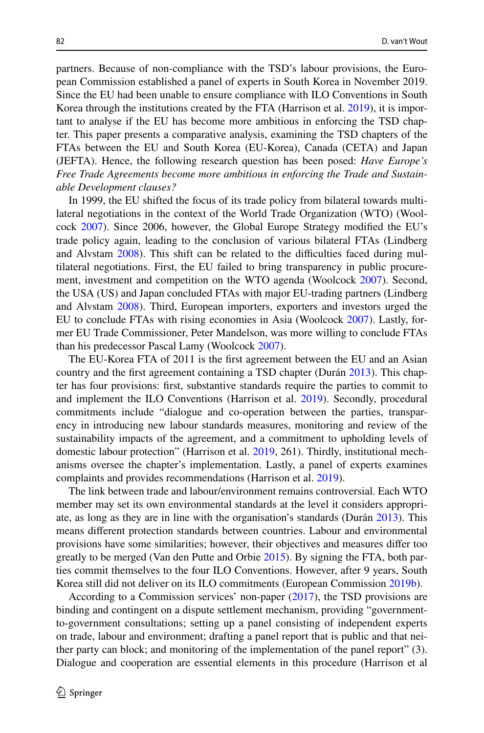partners. Because of non-compliance with the TSD's labour provisions, the European Commission established a panel of experts in South Korea in November 2019. Since the EU had been unable to ensure compliance with ILO Conventions in South Korea through the institutions created by the FTA (Harrison et al.  $2019$ ), it is important to analyse if the EU has become more ambitious in enforcing the TSD chapter. This paper presents a comparative analysis, examining the TSD chapters of the FTAs between the EU and South Korea (EU-Korea), Canada (CETA) and Japan (JEFTA). Hence, the following research question has been posed: *Have Europe's Free Trade Agreements become more ambitious in enforcing the Trade and Sustainable Development clauses?*

In 1999, the EU shifted the focus of its trade policy from bilateral towards multilateral negotiations in the context of the World Trade Organization (WTO) (Woolcock [2007\)](#page-17-0). Since 2006, however, the Global Europe Strategy modifed the EU's trade policy again, leading to the conclusion of various bilateral FTAs (Lindberg and Alvstam [2008](#page-17-1)). This shift can be related to the difficulties faced during multilateral negotiations. First, the EU failed to bring transparency in public procurement, investment and competition on the WTO agenda (Woolcock [2007](#page-17-0)). Second, the USA (US) and Japan concluded FTAs with major EU-trading partners (Lindberg and Alvstam [2008\)](#page-17-1). Third, European importers, exporters and investors urged the EU to conclude FTAs with rising economies in Asia (Woolcock [2007](#page-17-0)). Lastly, former EU Trade Commissioner, Peter Mandelson, was more willing to conclude FTAs than his predecessor Pascal Lamy (Woolcock [2007](#page-17-0)).

The EU-Korea FTA of 2011 is the frst agreement between the EU and an Asian country and the frst agreement containing a TSD chapter (Durán [2013](#page-15-0)). This chapter has four provisions: frst, substantive standards require the parties to commit to and implement the ILO Conventions (Harrison et al. [2019](#page-16-1)). Secondly, procedural commitments include "dialogue and co-operation between the parties, transparency in introducing new labour standards measures, monitoring and review of the sustainability impacts of the agreement, and a commitment to upholding levels of domestic labour protection" (Harrison et al. [2019,](#page-16-1) 261). Thirdly, institutional mechanisms oversee the chapter's implementation. Lastly, a panel of experts examines complaints and provides recommendations (Harrison et al. [2019\)](#page-16-1).

The link between trade and labour/environment remains controversial. Each WTO member may set its own environmental standards at the level it considers appropriate, as long as they are in line with the organisation's standards (Durán [2013\)](#page-15-0). This means diferent protection standards between countries. Labour and environmental provisions have some similarities; however, their objectives and measures difer too greatly to be merged (Van den Putte and Orbie [2015\)](#page-17-2). By signing the FTA, both parties commit themselves to the four ILO Conventions. However, after 9 years, South Korea still did not deliver on its ILO commitments (European Commission [2019b](#page-16-2)).

According to a Commission services' non-paper [\(2017](#page-15-1)), the TSD provisions are binding and contingent on a dispute settlement mechanism, providing "governmentto-government consultations; setting up a panel consisting of independent experts on trade, labour and environment; drafting a panel report that is public and that neither party can block; and monitoring of the implementation of the panel report" (3). Dialogue and cooperation are essential elements in this procedure (Harrison et al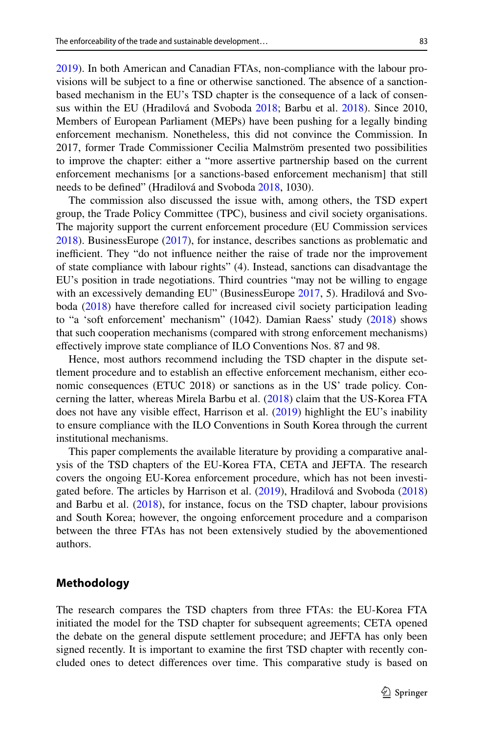[2019](#page-16-1)). In both American and Canadian FTAs, non-compliance with the labour provisions will be subject to a fne or otherwise sanctioned. The absence of a sanctionbased mechanism in the EU's TSD chapter is the consequence of a lack of consensus within the EU (Hradilová and Svoboda [2018](#page-16-3); Barbu et al. [2018\)](#page-15-2). Since 2010, Members of European Parliament (MEPs) have been pushing for a legally binding enforcement mechanism. Nonetheless, this did not convince the Commission. In 2017, former Trade Commissioner Cecilia Malmström presented two possibilities to improve the chapter: either a "more assertive partnership based on the current enforcement mechanisms [or a sanctions-based enforcement mechanism] that still needs to be defned" (Hradilová and Svoboda [2018](#page-16-3), 1030).

The commission also discussed the issue with, among others, the TSD expert group, the Trade Policy Committee (TPC), business and civil society organisations. The majority support the current enforcement procedure (EU Commission services [2018](#page-15-3)). BusinessEurope [\(2017](#page-15-4)), for instance, describes sanctions as problematic and inefficient. They "do not influence neither the raise of trade nor the improvement of state compliance with labour rights" (4). Instead, sanctions can disadvantage the EU's position in trade negotiations. Third countries "may not be willing to engage with an excessively demanding EU" (BusinessEurope [2017,](#page-15-4) 5). Hradilová and Svoboda ([2018\)](#page-16-3) have therefore called for increased civil society participation leading to "a 'soft enforcement' mechanism" (1042). Damian Raess' study [\(2018](#page-17-3)) shows that such cooperation mechanisms (compared with strong enforcement mechanisms) efectively improve state compliance of ILO Conventions Nos. 87 and 98.

Hence, most authors recommend including the TSD chapter in the dispute settlement procedure and to establish an efective enforcement mechanism, either economic consequences (ETUC 2018) or sanctions as in the US' trade policy. Concerning the latter, whereas Mirela Barbu et al. ([2018\)](#page-15-2) claim that the US-Korea FTA does not have any visible effect, Harrison et al. [\(2019](#page-16-1)) highlight the EU's inability to ensure compliance with the ILO Conventions in South Korea through the current institutional mechanisms.

This paper complements the available literature by providing a comparative analysis of the TSD chapters of the EU-Korea FTA, CETA and JEFTA. The research covers the ongoing EU-Korea enforcement procedure, which has not been investigated before. The articles by Harrison et al. ([2019\)](#page-16-1), Hradilová and Svoboda [\(2018](#page-16-3)) and Barbu et al. ([2018\)](#page-15-2), for instance, focus on the TSD chapter, labour provisions and South Korea; however, the ongoing enforcement procedure and a comparison between the three FTAs has not been extensively studied by the abovementioned authors.

### **Methodology**

The research compares the TSD chapters from three FTAs: the EU-Korea FTA initiated the model for the TSD chapter for subsequent agreements; CETA opened the debate on the general dispute settlement procedure; and JEFTA has only been signed recently. It is important to examine the frst TSD chapter with recently concluded ones to detect diferences over time. This comparative study is based on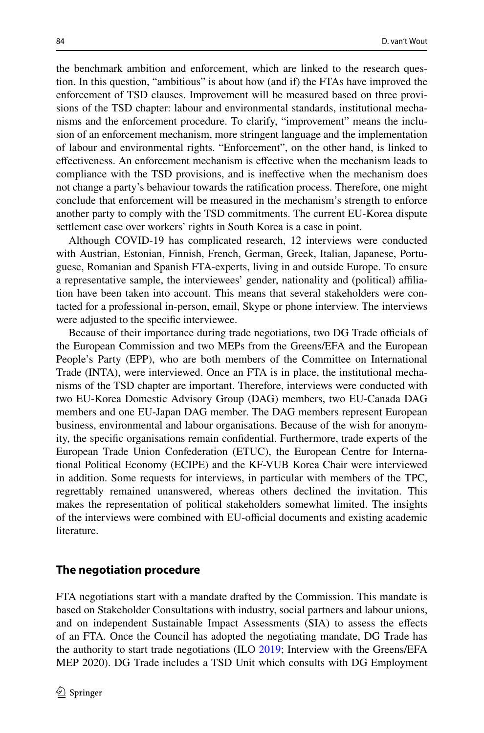the benchmark ambition and enforcement, which are linked to the research question. In this question, "ambitious" is about how (and if) the FTAs have improved the enforcement of TSD clauses. Improvement will be measured based on three provisions of the TSD chapter: labour and environmental standards, institutional mechanisms and the enforcement procedure. To clarify, "improvement" means the inclusion of an enforcement mechanism, more stringent language and the implementation of labour and environmental rights. "Enforcement", on the other hand, is linked to efectiveness. An enforcement mechanism is efective when the mechanism leads to compliance with the TSD provisions, and is inefective when the mechanism does not change a party's behaviour towards the ratifcation process. Therefore, one might conclude that enforcement will be measured in the mechanism's strength to enforce another party to comply with the TSD commitments. The current EU-Korea dispute settlement case over workers' rights in South Korea is a case in point.

Although COVID-19 has complicated research, 12 interviews were conducted with Austrian, Estonian, Finnish, French, German, Greek, Italian, Japanese, Portuguese, Romanian and Spanish FTA-experts, living in and outside Europe. To ensure a representative sample, the interviewees' gender, nationality and (political) afliation have been taken into account. This means that several stakeholders were contacted for a professional in-person, email, Skype or phone interview. The interviews were adjusted to the specifc interviewee.

Because of their importance during trade negotiations, two DG Trade officials of the European Commission and two MEPs from the Greens/EFA and the European People's Party (EPP), who are both members of the Committee on International Trade (INTA), were interviewed. Once an FTA is in place, the institutional mechanisms of the TSD chapter are important. Therefore, interviews were conducted with two EU-Korea Domestic Advisory Group (DAG) members, two EU-Canada DAG members and one EU-Japan DAG member. The DAG members represent European business, environmental and labour organisations. Because of the wish for anonymity, the specifc organisations remain confdential. Furthermore, trade experts of the European Trade Union Confederation (ETUC), the European Centre for International Political Economy (ECIPE) and the KF-VUB Korea Chair were interviewed in addition. Some requests for interviews, in particular with members of the TPC, regrettably remained unanswered, whereas others declined the invitation. This makes the representation of political stakeholders somewhat limited. The insights of the interviews were combined with EU-official documents and existing academic literature.

### **The negotiation procedure**

FTA negotiations start with a mandate drafted by the Commission. This mandate is based on Stakeholder Consultations with industry, social partners and labour unions, and on independent Sustainable Impact Assessments (SIA) to assess the efects of an FTA. Once the Council has adopted the negotiating mandate, DG Trade has the authority to start trade negotiations (ILO [2019](#page-16-4); Interview with the Greens/EFA MEP 2020). DG Trade includes a TSD Unit which consults with DG Employment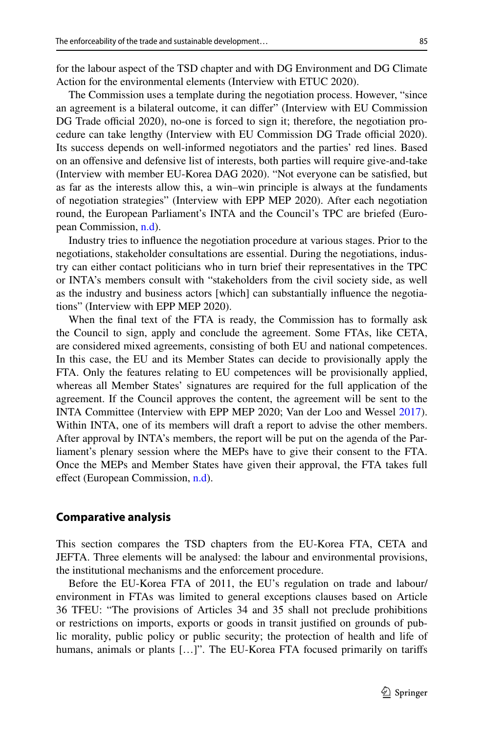for the labour aspect of the TSD chapter and with DG Environment and DG Climate Action for the environmental elements (Interview with ETUC 2020).

The Commission uses a template during the negotiation process. However, "since an agreement is a bilateral outcome, it can difer" (Interview with EU Commission DG Trade official 2020), no-one is forced to sign it; therefore, the negotiation procedure can take lengthy (Interview with EU Commission DG Trade official 2020). Its success depends on well-informed negotiators and the parties' red lines. Based on an ofensive and defensive list of interests, both parties will require give-and-take (Interview with member EU-Korea DAG 2020). "Not everyone can be satisfed, but as far as the interests allow this, a win–win principle is always at the fundaments of negotiation strategies" (Interview with EPP MEP 2020). After each negotiation round, the European Parliament's INTA and the Council's TPC are briefed (European Commission, [n.d](#page-16-5)).

Industry tries to infuence the negotiation procedure at various stages. Prior to the negotiations, stakeholder consultations are essential. During the negotiations, industry can either contact politicians who in turn brief their representatives in the TPC or INTA's members consult with "stakeholders from the civil society side, as well as the industry and business actors [which] can substantially infuence the negotiations" (Interview with EPP MEP 2020).

When the fnal text of the FTA is ready, the Commission has to formally ask the Council to sign, apply and conclude the agreement. Some FTAs, like CETA, are considered mixed agreements, consisting of both EU and national competences. In this case, the EU and its Member States can decide to provisionally apply the FTA. Only the features relating to EU competences will be provisionally applied, whereas all Member States' signatures are required for the full application of the agreement. If the Council approves the content, the agreement will be sent to the INTA Committee (Interview with EPP MEP 2020; Van der Loo and Wessel [2017\)](#page-17-4). Within INTA, one of its members will draft a report to advise the other members. After approval by INTA's members, the report will be put on the agenda of the Parliament's plenary session where the MEPs have to give their consent to the FTA. Once the MEPs and Member States have given their approval, the FTA takes full effect (European Commission, [n.d\)](#page-16-5).

### **Comparative analysis**

This section compares the TSD chapters from the EU-Korea FTA, CETA and JEFTA. Three elements will be analysed: the labour and environmental provisions, the institutional mechanisms and the enforcement procedure.

Before the EU-Korea FTA of 2011, the EU's regulation on trade and labour/ environment in FTAs was limited to general exceptions clauses based on Article 36 TFEU: "The provisions of Articles 34 and 35 shall not preclude prohibitions or restrictions on imports, exports or goods in transit justifed on grounds of public morality, public policy or public security; the protection of health and life of humans, animals or plants [...]". The EU-Korea FTA focused primarily on tariffs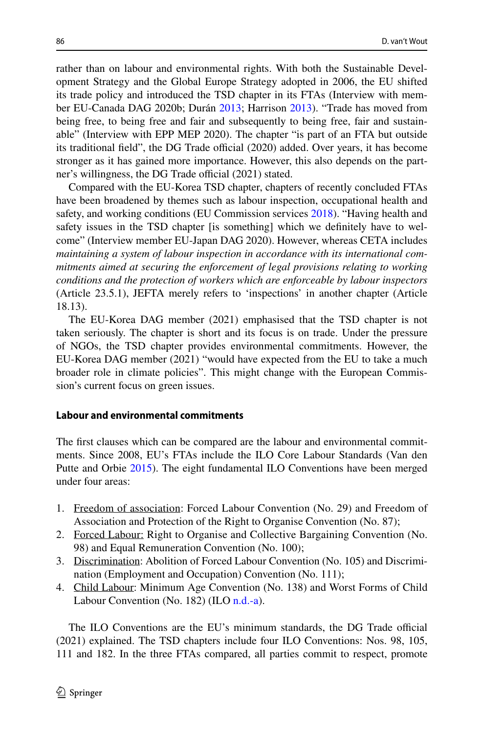rather than on labour and environmental rights. With both the Sustainable Development Strategy and the Global Europe Strategy adopted in 2006, the EU shifted its trade policy and introduced the TSD chapter in its FTAs (Interview with member EU-Canada DAG 2020b; Durán [2013](#page-15-0); Harrison [2013](#page-16-6)). "Trade has moved from being free, to being free and fair and subsequently to being free, fair and sustainable" (Interview with EPP MEP 2020). The chapter "is part of an FTA but outside its traditional field", the DG Trade official  $(2020)$  added. Over years, it has become stronger as it has gained more importance. However, this also depends on the partner's willingness, the DG Trade official (2021) stated.

Compared with the EU-Korea TSD chapter, chapters of recently concluded FTAs have been broadened by themes such as labour inspection, occupational health and safety, and working conditions (EU Commission services [2018\)](#page-15-3). "Having health and safety issues in the TSD chapter [is something] which we defnitely have to welcome" (Interview member EU-Japan DAG 2020). However, whereas CETA includes *maintaining a system of labour inspection in accordance with its international commitments aimed at securing the enforcement of legal provisions relating to working conditions and the protection of workers which are enforceable by labour inspectors* (Article 23.5.1), JEFTA merely refers to 'inspections' in another chapter (Article 18.13).

The EU-Korea DAG member (2021) emphasised that the TSD chapter is not taken seriously. The chapter is short and its focus is on trade. Under the pressure of NGOs, the TSD chapter provides environmental commitments. However, the EU-Korea DAG member (2021) "would have expected from the EU to take a much broader role in climate policies". This might change with the European Commission's current focus on green issues.

#### **Labour and environmental commitments**

The frst clauses which can be compared are the labour and environmental commitments. Since 2008, EU's FTAs include the ILO Core Labour Standards (Van den Putte and Orbie [2015](#page-17-2)). The eight fundamental ILO Conventions have been merged under four areas:

- 1. Freedom of association: Forced Labour Convention (No. 29) and Freedom of Association and Protection of the Right to Organise Convention (No. 87);
- 2. Forced Labour: Right to Organise and Collective Bargaining Convention (No. 98) and Equal Remuneration Convention (No. 100);
- 3. Discrimination: Abolition of Forced Labour Convention (No. 105) and Discrimination (Employment and Occupation) Convention (No. 111);
- 4. Child Labour: Minimum Age Convention (No. 138) and Worst Forms of Child Labour Convention (No. 182) (ILO [n.d.-a\)](#page-16-7).

The ILO Conventions are the EU's minimum standards, the DG Trade official (2021) explained. The TSD chapters include four ILO Conventions: Nos. 98, 105, 111 and 182. In the three FTAs compared, all parties commit to respect, promote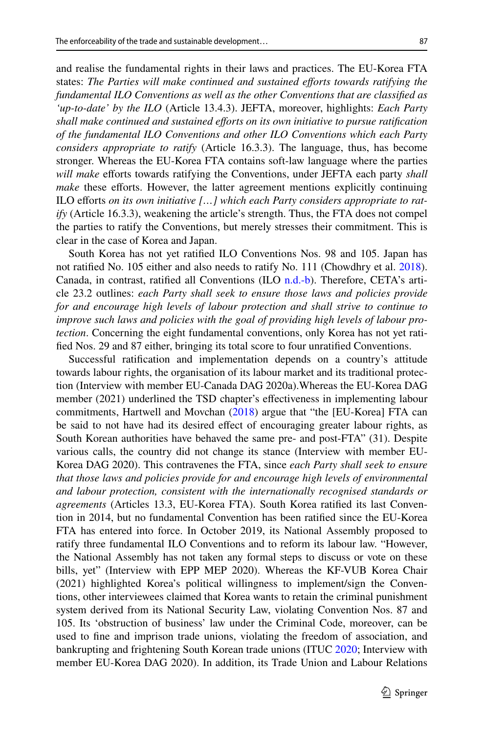and realise the fundamental rights in their laws and practices. The EU-Korea FTA states: *The Parties will make continued and sustained eforts towards ratifying the fundamental ILO Conventions as well as the other Conventions that are classifed as 'up-to-date' by the ILO* (Article 13.4.3). JEFTA, moreover, highlights: *Each Party shall make continued and sustained efforts on its own initiative to pursue ratification of the fundamental ILO Conventions and other ILO Conventions which each Party considers appropriate to ratify* (Article 16.3.3). The language, thus, has become stronger. Whereas the EU-Korea FTA contains soft-law language where the parties *will make* efforts towards ratifying the Conventions, under JEFTA each party *shall make* these efforts. However, the latter agreement mentions explicitly continuing ILO eforts *on its own initiative […] which each Party considers appropriate to ratify* (Article 16.3.3), weakening the article's strength. Thus, the FTA does not compel the parties to ratify the Conventions, but merely stresses their commitment. This is clear in the case of Korea and Japan.

South Korea has not yet ratifed ILO Conventions Nos. 98 and 105. Japan has not ratifed No. 105 either and also needs to ratify No. 111 (Chowdhry et al. [2018\)](#page-15-5). Canada, in contrast, ratifed all Conventions (ILO [n.d.-b\)](#page-16-8). Therefore, CETA's article 23.2 outlines: *each Party shall seek to ensure those laws and policies provide for and encourage high levels of labour protection and shall strive to continue to improve such laws and policies with the goal of providing high levels of labour protection*. Concerning the eight fundamental conventions, only Korea has not yet ratifed Nos. 29 and 87 either, bringing its total score to four unratifed Conventions.

Successful ratifcation and implementation depends on a country's attitude towards labour rights, the organisation of its labour market and its traditional protection (Interview with member EU-Canada DAG 2020a).Whereas the EU-Korea DAG member (2021) underlined the TSD chapter's efectiveness in implementing labour commitments, Hartwell and Movchan [\(2018](#page-16-9)) argue that "the [EU-Korea] FTA can be said to not have had its desired efect of encouraging greater labour rights, as South Korean authorities have behaved the same pre- and post-FTA" (31). Despite various calls, the country did not change its stance (Interview with member EU-Korea DAG 2020). This contravenes the FTA, since *each Party shall seek to ensure that those laws and policies provide for and encourage high levels of environmental and labour protection, consistent with the internationally recognised standards or agreements* (Articles 13.3, EU-Korea FTA). South Korea ratifed its last Convention in 2014, but no fundamental Convention has been ratifed since the EU-Korea FTA has entered into force. In October 2019, its National Assembly proposed to ratify three fundamental ILO Conventions and to reform its labour law. "However, the National Assembly has not taken any formal steps to discuss or vote on these bills, yet" (Interview with EPP MEP 2020). Whereas the KF-VUB Korea Chair (2021) highlighted Korea's political willingness to implement/sign the Conventions, other interviewees claimed that Korea wants to retain the criminal punishment system derived from its National Security Law, violating Convention Nos. 87 and 105. Its 'obstruction of business' law under the Criminal Code, moreover, can be used to fne and imprison trade unions, violating the freedom of association, and bankrupting and frightening South Korean trade unions (ITUC [2020](#page-16-10); Interview with member EU-Korea DAG 2020). In addition, its Trade Union and Labour Relations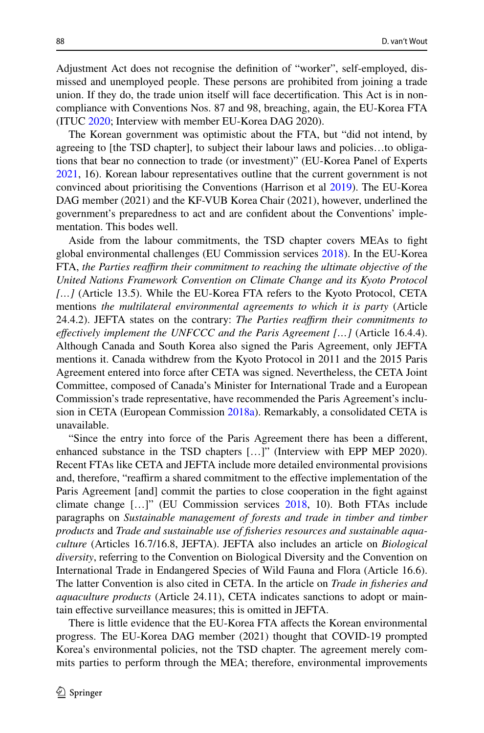Adjustment Act does not recognise the defnition of "worker", self-employed, dismissed and unemployed people. These persons are prohibited from joining a trade union. If they do, the trade union itself will face decertifcation. This Act is in noncompliance with Conventions Nos. 87 and 98, breaching, again, the EU-Korea FTA (ITUC [2020](#page-16-10); Interview with member EU-Korea DAG 2020).

The Korean government was optimistic about the FTA, but "did not intend, by agreeing to [the TSD chapter], to subject their labour laws and policies…to obligations that bear no connection to trade (or investment)" (EU-Korea Panel of Experts [2021](#page-16-11), 16). Korean labour representatives outline that the current government is not convinced about prioritising the Conventions (Harrison et al [2019\)](#page-16-1). The EU-Korea DAG member (2021) and the KF-VUB Korea Chair (2021), however, underlined the government's preparedness to act and are confdent about the Conventions' implementation. This bodes well.

Aside from the labour commitments, the TSD chapter covers MEAs to fght global environmental challenges (EU Commission services [2018](#page-15-3)). In the EU-Korea FTA, *the Parties reafrm their commitment to reaching the ultimate objective of the United Nations Framework Convention on Climate Change and its Kyoto Protocol […]* (Article 13.5). While the EU-Korea FTA refers to the Kyoto Protocol, CETA mentions *the multilateral environmental agreements to which it is party* (Article 24.4.2). JEFTA states on the contrary: *The Parties reafrm their commitments to efectively implement the UNFCCC and the Paris Agreement […]* (Article 16.4.4). Although Canada and South Korea also signed the Paris Agreement, only JEFTA mentions it. Canada withdrew from the Kyoto Protocol in 2011 and the 2015 Paris Agreement entered into force after CETA was signed. Nevertheless, the CETA Joint Committee, composed of Canada's Minister for International Trade and a European Commission's trade representative, have recommended the Paris Agreement's inclusion in CETA (European Commission [2018a](#page-16-12)). Remarkably, a consolidated CETA is unavailable.

"Since the entry into force of the Paris Agreement there has been a diferent, enhanced substance in the TSD chapters […]" (Interview with EPP MEP 2020). Recent FTAs like CETA and JEFTA include more detailed environmental provisions and, therefore, "reaffirm a shared commitment to the effective implementation of the Paris Agreement [and] commit the parties to close cooperation in the fght against climate change […]" (EU Commission services [2018](#page-15-3), 10). Both FTAs include paragraphs on *Sustainable management of forests and trade in timber and timber products* and *Trade and sustainable use of fsheries resources and sustainable aquaculture* (Articles 16.7/16.8, JEFTA). JEFTA also includes an article on *Biological diversity*, referring to the Convention on Biological Diversity and the Convention on International Trade in Endangered Species of Wild Fauna and Flora (Article 16.6). The latter Convention is also cited in CETA. In the article on *Trade in fsheries and aquaculture products* (Article 24.11), CETA indicates sanctions to adopt or maintain efective surveillance measures; this is omitted in JEFTA.

There is little evidence that the EU-Korea FTA afects the Korean environmental progress. The EU-Korea DAG member (2021) thought that COVID-19 prompted Korea's environmental policies, not the TSD chapter. The agreement merely commits parties to perform through the MEA; therefore, environmental improvements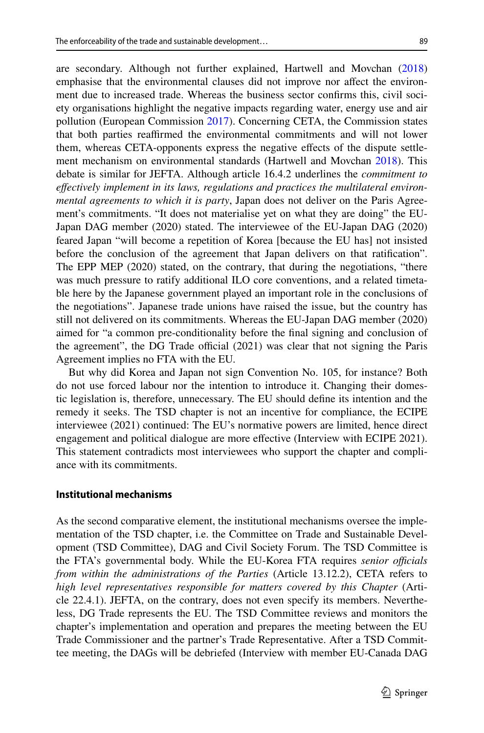are secondary. Although not further explained, Hartwell and Movchan [\(2018](#page-16-9)) emphasise that the environmental clauses did not improve nor afect the environment due to increased trade. Whereas the business sector confrms this, civil society organisations highlight the negative impacts regarding water, energy use and air pollution (European Commission [2017](#page-16-13)). Concerning CETA, the Commission states that both parties reafrmed the environmental commitments and will not lower them, whereas CETA-opponents express the negative efects of the dispute settlement mechanism on environmental standards (Hartwell and Movchan [2018](#page-16-9)). This debate is similar for JEFTA. Although article 16.4.2 underlines the *commitment to efectively implement in its laws, regulations and practices the multilateral environmental agreements to which it is party*, Japan does not deliver on the Paris Agreement's commitments. "It does not materialise yet on what they are doing" the EU-Japan DAG member (2020) stated. The interviewee of the EU-Japan DAG (2020) feared Japan "will become a repetition of Korea [because the EU has] not insisted before the conclusion of the agreement that Japan delivers on that ratifcation". The EPP MEP (2020) stated, on the contrary, that during the negotiations, "there was much pressure to ratify additional ILO core conventions, and a related timetable here by the Japanese government played an important role in the conclusions of the negotiations". Japanese trade unions have raised the issue, but the country has still not delivered on its commitments. Whereas the EU-Japan DAG member (2020) aimed for "a common pre-conditionality before the fnal signing and conclusion of the agreement", the DG Trade official  $(2021)$  was clear that not signing the Paris Agreement implies no FTA with the EU.

But why did Korea and Japan not sign Convention No. 105, for instance? Both do not use forced labour nor the intention to introduce it. Changing their domestic legislation is, therefore, unnecessary. The EU should defne its intention and the remedy it seeks. The TSD chapter is not an incentive for compliance, the ECIPE interviewee (2021) continued: The EU's normative powers are limited, hence direct engagement and political dialogue are more efective (Interview with ECIPE 2021). This statement contradicts most interviewees who support the chapter and compliance with its commitments.

### **Institutional mechanisms**

As the second comparative element, the institutional mechanisms oversee the implementation of the TSD chapter, i.e. the Committee on Trade and Sustainable Development (TSD Committee), DAG and Civil Society Forum. The TSD Committee is the FTA's governmental body. While the EU-Korea FTA requires *senior officials from within the administrations of the Parties* (Article 13.12.2), CETA refers to *high level representatives responsible for matters covered by this Chapter* (Article 22.4.1). JEFTA, on the contrary, does not even specify its members. Nevertheless, DG Trade represents the EU. The TSD Committee reviews and monitors the chapter's implementation and operation and prepares the meeting between the EU Trade Commissioner and the partner's Trade Representative. After a TSD Committee meeting, the DAGs will be debriefed (Interview with member EU-Canada DAG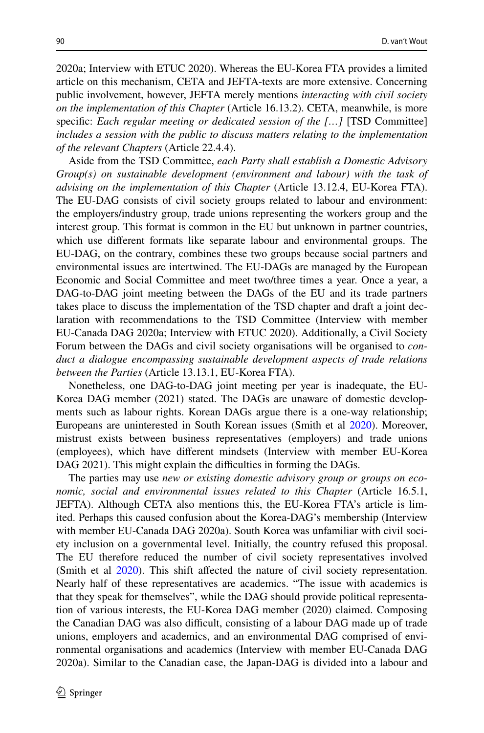2020a; Interview with ETUC 2020). Whereas the EU-Korea FTA provides a limited article on this mechanism, CETA and JEFTA-texts are more extensive. Concerning public involvement, however, JEFTA merely mentions *interacting with civil society on the implementation of this Chapter* (Article 16.13.2). CETA, meanwhile, is more specifc: *Each regular meeting or dedicated session of the […]* [TSD Committee] *includes a session with the public to discuss matters relating to the implementation of the relevant Chapters* (Article 22.4.4).

Aside from the TSD Committee, *each Party shall establish a Domestic Advisory Group(s) on sustainable development (environment and labour) with the task of advising on the implementation of this Chapter* (Article 13.12.4, EU-Korea FTA). The EU-DAG consists of civil society groups related to labour and environment: the employers/industry group, trade unions representing the workers group and the interest group. This format is common in the EU but unknown in partner countries, which use diferent formats like separate labour and environmental groups. The EU-DAG, on the contrary, combines these two groups because social partners and environmental issues are intertwined. The EU-DAGs are managed by the European Economic and Social Committee and meet two/three times a year. Once a year, a DAG-to-DAG joint meeting between the DAGs of the EU and its trade partners takes place to discuss the implementation of the TSD chapter and draft a joint declaration with recommendations to the TSD Committee (Interview with member EU-Canada DAG 2020a; Interview with ETUC 2020). Additionally, a Civil Society Forum between the DAGs and civil society organisations will be organised to *conduct a dialogue encompassing sustainable development aspects of trade relations between the Parties* (Article 13.13.1, EU-Korea FTA).

Nonetheless, one DAG-to-DAG joint meeting per year is inadequate, the EU-Korea DAG member (2021) stated. The DAGs are unaware of domestic developments such as labour rights. Korean DAGs argue there is a one-way relationship; Europeans are uninterested in South Korean issues (Smith et al [2020\)](#page-17-5). Moreover, mistrust exists between business representatives (employers) and trade unions (employees), which have diferent mindsets (Interview with member EU-Korea DAG 2021). This might explain the difficulties in forming the DAGs.

The parties may use *new or existing domestic advisory group or groups on economic, social and environmental issues related to this Chapter* (Article 16.5.1, JEFTA). Although CETA also mentions this, the EU-Korea FTA's article is limited. Perhaps this caused confusion about the Korea-DAG's membership (Interview with member EU-Canada DAG 2020a). South Korea was unfamiliar with civil society inclusion on a governmental level. Initially, the country refused this proposal. The EU therefore reduced the number of civil society representatives involved (Smith et al [2020\)](#page-17-5). This shift affected the nature of civil society representation. Nearly half of these representatives are academics. "The issue with academics is that they speak for themselves", while the DAG should provide political representation of various interests, the EU-Korea DAG member (2020) claimed. Composing the Canadian DAG was also difficult, consisting of a labour DAG made up of trade unions, employers and academics, and an environmental DAG comprised of environmental organisations and academics (Interview with member EU-Canada DAG 2020a). Similar to the Canadian case, the Japan-DAG is divided into a labour and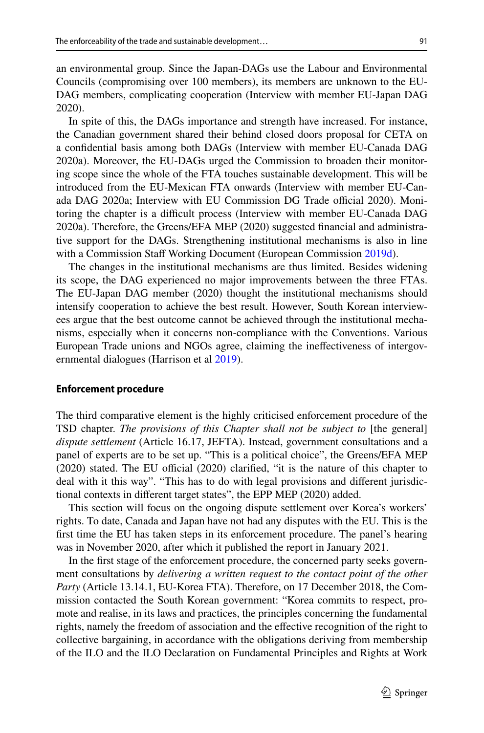an environmental group. Since the Japan-DAGs use the Labour and Environmental Councils (compromising over 100 members), its members are unknown to the EU-DAG members, complicating cooperation (Interview with member EU-Japan DAG 2020).

In spite of this, the DAGs importance and strength have increased. For instance, the Canadian government shared their behind closed doors proposal for CETA on a confdential basis among both DAGs (Interview with member EU-Canada DAG 2020a). Moreover, the EU-DAGs urged the Commission to broaden their monitoring scope since the whole of the FTA touches sustainable development. This will be introduced from the EU-Mexican FTA onwards (Interview with member EU-Canada DAG 2020a; Interview with EU Commission DG Trade official 2020). Monitoring the chapter is a difficult process (Interview with member EU-Canada DAG 2020a). Therefore, the Greens/EFA MEP (2020) suggested fnancial and administrative support for the DAGs. Strengthening institutional mechanisms is also in line with a Commission Staff Working Document (European Commission [2019d](#page-16-14)).

The changes in the institutional mechanisms are thus limited. Besides widening its scope, the DAG experienced no major improvements between the three FTAs. The EU-Japan DAG member (2020) thought the institutional mechanisms should intensify cooperation to achieve the best result. However, South Korean interviewees argue that the best outcome cannot be achieved through the institutional mechanisms, especially when it concerns non-compliance with the Conventions. Various European Trade unions and NGOs agree, claiming the inefectiveness of intergov-ernmental dialogues (Harrison et al [2019](#page-16-1)).

#### **Enforcement procedure**

The third comparative element is the highly criticised enforcement procedure of the TSD chapter. *The provisions of this Chapter shall not be subject to* [the general] *dispute settlement* (Article 16.17, JEFTA). Instead, government consultations and a panel of experts are to be set up. "This is a political choice", the Greens/EFA MEP  $(2020)$  stated. The EU official  $(2020)$  clarified, "it is the nature of this chapter to deal with it this way". "This has to do with legal provisions and diferent jurisdictional contexts in diferent target states", the EPP MEP (2020) added.

This section will focus on the ongoing dispute settlement over Korea's workers' rights. To date, Canada and Japan have not had any disputes with the EU. This is the frst time the EU has taken steps in its enforcement procedure. The panel's hearing was in November 2020, after which it published the report in January 2021.

In the frst stage of the enforcement procedure, the concerned party seeks government consultations by *delivering a written request to the contact point of the other Party* (Article 13.14.1, EU-Korea FTA). Therefore, on 17 December 2018, the Commission contacted the South Korean government: "Korea commits to respect, promote and realise, in its laws and practices, the principles concerning the fundamental rights, namely the freedom of association and the efective recognition of the right to collective bargaining, in accordance with the obligations deriving from membership of the ILO and the ILO Declaration on Fundamental Principles and Rights at Work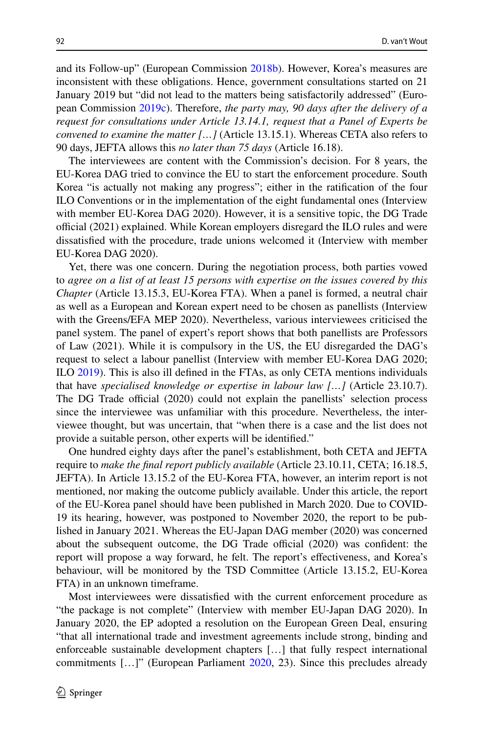and its Follow-up" (European Commission [2018b\)](#page-16-15). However, Korea's measures are inconsistent with these obligations. Hence, government consultations started on 21 January 2019 but "did not lead to the matters being satisfactorily addressed" (European Commission [2019c\)](#page-16-16). Therefore, *the party may, 90 days after the delivery of a request for consultations under Article 13.14.1, request that a Panel of Experts be convened to examine the matter […]* (Article 13.15.1). Whereas CETA also refers to 90 days, JEFTA allows this *no later than 75 days* (Article 16.18).

The interviewees are content with the Commission's decision. For 8 years, the EU-Korea DAG tried to convince the EU to start the enforcement procedure. South Korea "is actually not making any progress"; either in the ratifcation of the four ILO Conventions or in the implementation of the eight fundamental ones (Interview with member EU-Korea DAG 2020). However, it is a sensitive topic, the DG Trade official  $(2021)$  explained. While Korean employers disregard the ILO rules and were dissatisfed with the procedure, trade unions welcomed it (Interview with member EU-Korea DAG 2020).

Yet, there was one concern. During the negotiation process, both parties vowed to *agree on a list of at least 15 persons with expertise on the issues covered by this Chapter* (Article 13.15.3, EU-Korea FTA). When a panel is formed, a neutral chair as well as a European and Korean expert need to be chosen as panellists (Interview with the Greens/EFA MEP 2020). Nevertheless, various interviewees criticised the panel system. The panel of expert's report shows that both panellists are Professors of Law (2021). While it is compulsory in the US, the EU disregarded the DAG's request to select a labour panellist (Interview with member EU-Korea DAG 2020; ILO [2019](#page-16-4)). This is also ill defned in the FTAs, as only CETA mentions individuals that have *specialised knowledge or expertise in labour law […]* (Article 23.10.7). The DG Trade official (2020) could not explain the panellists' selection process since the interviewee was unfamiliar with this procedure. Nevertheless, the interviewee thought, but was uncertain, that "when there is a case and the list does not provide a suitable person, other experts will be identifed."

One hundred eighty days after the panel's establishment, both CETA and JEFTA require to *make the fnal report publicly available* (Article 23.10.11, CETA; 16.18.5, JEFTA). In Article 13.15.2 of the EU-Korea FTA, however, an interim report is not mentioned, nor making the outcome publicly available. Under this article, the report of the EU-Korea panel should have been published in March 2020. Due to COVID-19 its hearing, however, was postponed to November 2020, the report to be published in January 2021. Whereas the EU-Japan DAG member (2020) was concerned about the subsequent outcome, the DG Trade official  $(2020)$  was confident: the report will propose a way forward, he felt. The report's efectiveness, and Korea's behaviour, will be monitored by the TSD Committee (Article 13.15.2, EU-Korea FTA) in an unknown timeframe.

Most interviewees were dissatisfed with the current enforcement procedure as "the package is not complete" (Interview with member EU-Japan DAG 2020). In January 2020, the EP adopted a resolution on the European Green Deal, ensuring "that all international trade and investment agreements include strong, binding and enforceable sustainable development chapters […] that fully respect international commitments […]" (European Parliament [2020,](#page-16-17) 23). Since this precludes already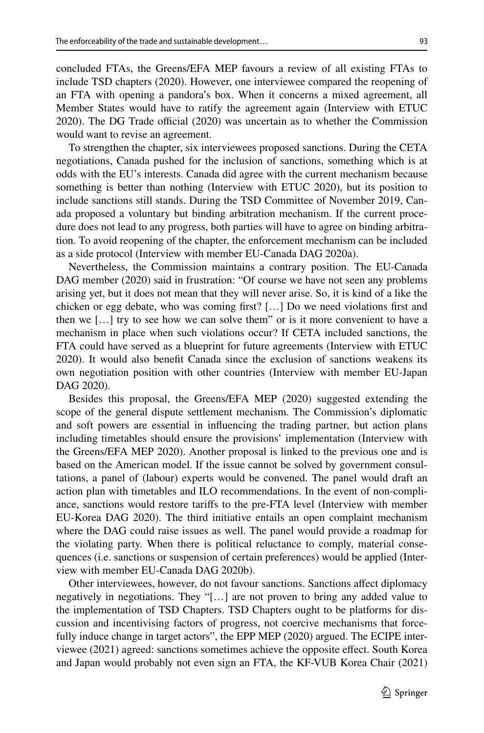concluded FTAs, the Greens/EFA MEP favours a review of all existing FTAs to include TSD chapters (2020). However, one interviewee compared the reopening of an FTA with opening a pandora's box. When it concerns a mixed agreement, all Member States would have to ratify the agreement again (Interview with ETUC  $2020$ ). The DG Trade official  $(2020)$  was uncertain as to whether the Commission would want to revise an agreement.

To strengthen the chapter, six interviewees proposed sanctions. During the CETA negotiations, Canada pushed for the inclusion of sanctions, something which is at odds with the EU's interests. Canada did agree with the current mechanism because something is better than nothing (Interview with ETUC 2020), but its position to include sanctions still stands. During the TSD Committee of November 2019, Canada proposed a voluntary but binding arbitration mechanism. If the current procedure does not lead to any progress, both parties will have to agree on binding arbitration. To avoid reopening of the chapter, the enforcement mechanism can be included as a side protocol (Interview with member EU-Canada DAG 2020a).

Nevertheless, the Commission maintains a contrary position. The EU-Canada DAG member (2020) said in frustration: "Of course we have not seen any problems arising yet, but it does not mean that they will never arise. So, it is kind of a like the chicken or egg debate, who was coming frst? […] Do we need violations frst and then we  $[\dots]$  try to see how we can solve them" or is it more convenient to have a mechanism in place when such violations occur? If CETA included sanctions, the FTA could have served as a blueprint for future agreements (Interview with ETUC 2020). It would also beneft Canada since the exclusion of sanctions weakens its own negotiation position with other countries (Interview with member EU-Japan DAG 2020).

Besides this proposal, the Greens/EFA MEP (2020) suggested extending the scope of the general dispute settlement mechanism. The Commission's diplomatic and soft powers are essential in infuencing the trading partner, but action plans including timetables should ensure the provisions' implementation (Interview with the Greens/EFA MEP 2020). Another proposal is linked to the previous one and is based on the American model. If the issue cannot be solved by government consultations, a panel of (labour) experts would be convened. The panel would draft an action plan with timetables and ILO recommendations. In the event of non-compliance, sanctions would restore tarifs to the pre-FTA level (Interview with member EU-Korea DAG 2020). The third initiative entails an open complaint mechanism where the DAG could raise issues as well. The panel would provide a roadmap for the violating party. When there is political reluctance to comply, material consequences (i.e. sanctions or suspension of certain preferences) would be applied (Interview with member EU-Canada DAG 2020b).

Other interviewees, however, do not favour sanctions. Sanctions afect diplomacy negatively in negotiations. They "[…] are not proven to bring any added value to the implementation of TSD Chapters. TSD Chapters ought to be platforms for discussion and incentivising factors of progress, not coercive mechanisms that forcefully induce change in target actors", the EPP MEP (2020) argued. The ECIPE interviewee (2021) agreed: sanctions sometimes achieve the opposite efect. South Korea and Japan would probably not even sign an FTA, the KF-VUB Korea Chair (2021)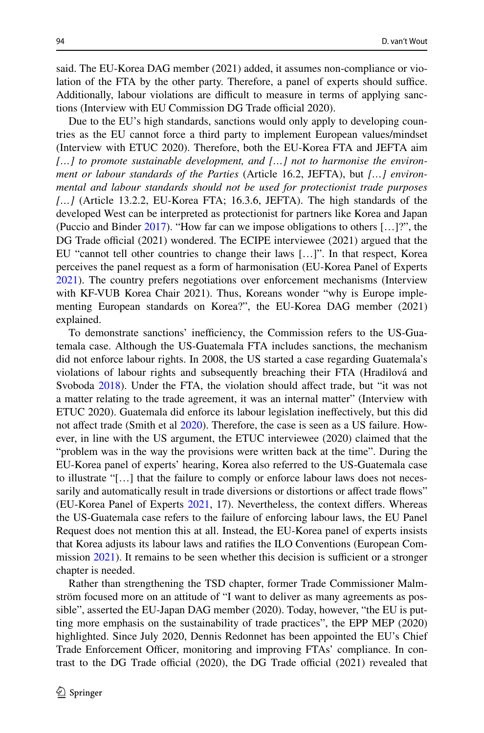said. The EU-Korea DAG member (2021) added, it assumes non-compliance or violation of the FTA by the other party. Therefore, a panel of experts should suffice. Additionally, labour violations are difficult to measure in terms of applying sanctions (Interview with EU Commission DG Trade official 2020).

Due to the EU's high standards, sanctions would only apply to developing countries as the EU cannot force a third party to implement European values/mindset (Interview with ETUC 2020). Therefore, both the EU-Korea FTA and JEFTA aim *[…] to promote sustainable development, and […] not to harmonise the environment or labour standards of the Parties* (Article 16.2, JEFTA), but *[…] environmental and labour standards should not be used for protectionist trade purposes […]* (Article 13.2.2, EU-Korea FTA; 16.3.6, JEFTA). The high standards of the developed West can be interpreted as protectionist for partners like Korea and Japan (Puccio and Binder [2017](#page-17-6)). "How far can we impose obligations to others […]?", the DG Trade official  $(2021)$  wondered. The ECIPE interviewee  $(2021)$  argued that the EU "cannot tell other countries to change their laws […]". In that respect, Korea perceives the panel request as a form of harmonisation (EU-Korea Panel of Experts [2021](#page-16-11)). The country prefers negotiations over enforcement mechanisms (Interview with KF-VUB Korea Chair 2021). Thus, Koreans wonder "why is Europe implementing European standards on Korea?", the EU-Korea DAG member (2021) explained.

To demonstrate sanctions' inefficiency, the Commission refers to the US-Guatemala case. Although the US-Guatemala FTA includes sanctions, the mechanism did not enforce labour rights. In 2008, the US started a case regarding Guatemala's violations of labour rights and subsequently breaching their FTA (Hradilová and Svoboda [2018\)](#page-16-3). Under the FTA, the violation should afect trade, but "it was not a matter relating to the trade agreement, it was an internal matter" (Interview with ETUC 2020). Guatemala did enforce its labour legislation inefectively, but this did not afect trade (Smith et al [2020\)](#page-17-5). Therefore, the case is seen as a US failure. However, in line with the US argument, the ETUC interviewee (2020) claimed that the "problem was in the way the provisions were written back at the time". During the EU-Korea panel of experts' hearing, Korea also referred to the US-Guatemala case to illustrate "[…] that the failure to comply or enforce labour laws does not necessarily and automatically result in trade diversions or distortions or afect trade fows" (EU-Korea Panel of Experts [2021,](#page-16-11) 17). Nevertheless, the context difers. Whereas the US-Guatemala case refers to the failure of enforcing labour laws, the EU Panel Request does not mention this at all. Instead, the EU-Korea panel of experts insists that Korea adjusts its labour laws and ratifes the ILO Conventions (European Commission  $2021$ ). It remains to be seen whether this decision is sufficient or a stronger chapter is needed.

Rather than strengthening the TSD chapter, former Trade Commissioner Malmström focused more on an attitude of "I want to deliver as many agreements as possible", asserted the EU-Japan DAG member (2020). Today, however, "the EU is putting more emphasis on the sustainability of trade practices", the EPP MEP (2020) highlighted. Since July 2020, Dennis Redonnet has been appointed the EU's Chief Trade Enforcement Officer, monitoring and improving FTAs' compliance. In contrast to the DG Trade official  $(2020)$ , the DG Trade official  $(2021)$  revealed that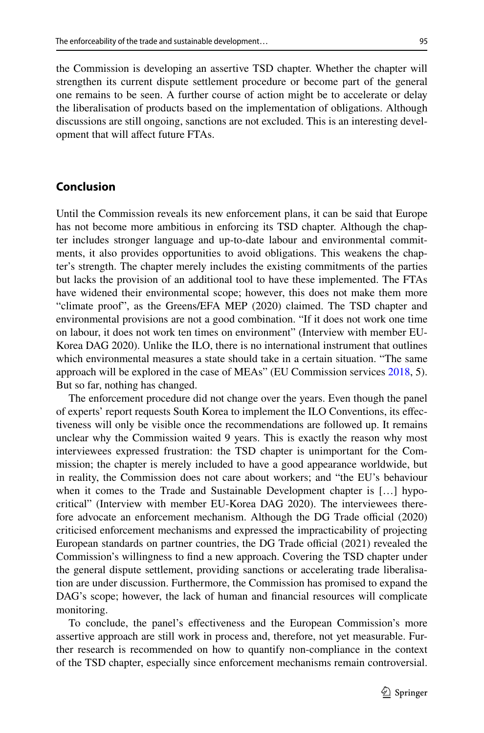the Commission is developing an assertive TSD chapter. Whether the chapter will strengthen its current dispute settlement procedure or become part of the general one remains to be seen. A further course of action might be to accelerate or delay the liberalisation of products based on the implementation of obligations. Although discussions are still ongoing, sanctions are not excluded. This is an interesting development that will afect future FTAs.

## **Conclusion**

Until the Commission reveals its new enforcement plans, it can be said that Europe has not become more ambitious in enforcing its TSD chapter. Although the chapter includes stronger language and up-to-date labour and environmental commitments, it also provides opportunities to avoid obligations. This weakens the chapter's strength. The chapter merely includes the existing commitments of the parties but lacks the provision of an additional tool to have these implemented. The FTAs have widened their environmental scope; however, this does not make them more "climate proof", as the Greens/EFA MEP (2020) claimed. The TSD chapter and environmental provisions are not a good combination. "If it does not work one time on labour, it does not work ten times on environment" (Interview with member EU-Korea DAG 2020). Unlike the ILO, there is no international instrument that outlines which environmental measures a state should take in a certain situation. "The same approach will be explored in the case of MEAs" (EU Commission services [2018,](#page-15-3) 5). But so far, nothing has changed.

The enforcement procedure did not change over the years. Even though the panel of experts' report requests South Korea to implement the ILO Conventions, its efectiveness will only be visible once the recommendations are followed up. It remains unclear why the Commission waited 9 years. This is exactly the reason why most interviewees expressed frustration: the TSD chapter is unimportant for the Commission; the chapter is merely included to have a good appearance worldwide, but in reality, the Commission does not care about workers; and "the EU's behaviour when it comes to the Trade and Sustainable Development chapter is [...] hypocritical" (Interview with member EU-Korea DAG 2020). The interviewees therefore advocate an enforcement mechanism. Although the DG Trade official (2020) criticised enforcement mechanisms and expressed the impracticability of projecting European standards on partner countries, the DG Trade official (2021) revealed the Commission's willingness to fnd a new approach. Covering the TSD chapter under the general dispute settlement, providing sanctions or accelerating trade liberalisation are under discussion. Furthermore, the Commission has promised to expand the DAG's scope; however, the lack of human and fnancial resources will complicate monitoring.

To conclude, the panel's efectiveness and the European Commission's more assertive approach are still work in process and, therefore, not yet measurable. Further research is recommended on how to quantify non-compliance in the context of the TSD chapter, especially since enforcement mechanisms remain controversial.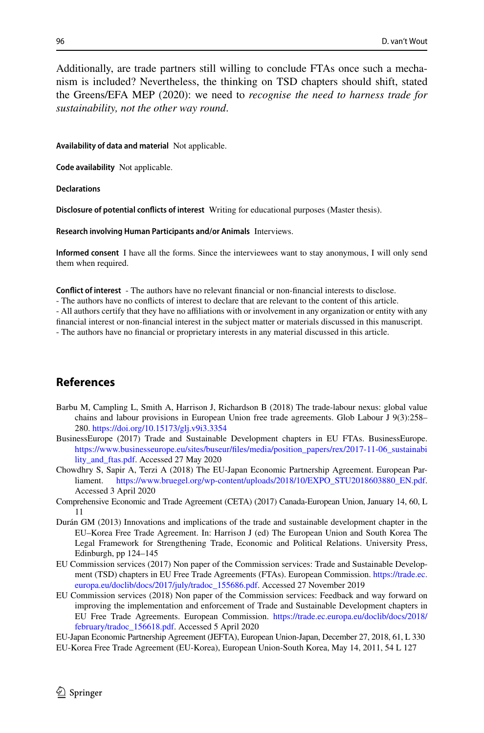Additionally, are trade partners still willing to conclude FTAs once such a mechanism is included? Nevertheless, the thinking on TSD chapters should shift, stated the Greens/EFA MEP (2020): we need to *recognise the need to harness trade for sustainability, not the other way round*.

**Availability of data and material** Not applicable.

**Code availability** Not applicable.

**Declarations**

**Disclosure of potential conficts of interest** Writing for educational purposes (Master thesis).

**Research involving Human Participants and/or Animals** Interviews.

**Informed consent** I have all the forms. Since the interviewees want to stay anonymous, I will only send them when required.

**Confict of interest** - The authors have no relevant fnancial or non-fnancial interests to disclose.

- The authors have no conficts of interest to declare that are relevant to the content of this article.

- All authors certify that they have no afliations with or involvement in any organization or entity with any

fnancial interest or non-fnancial interest in the subject matter or materials discussed in this manuscript. - The authors have no fnancial or proprietary interests in any material discussed in this article.

## **References**

- <span id="page-15-2"></span>Barbu M, Campling L, Smith A, Harrison J, Richardson B (2018) The trade-labour nexus: global value chains and labour provisions in European Union free trade agreements. Glob Labour J 9(3):258– 280.<https://doi.org/10.15173/glj.v9i3.3354>
- <span id="page-15-4"></span>BusinessEurope (2017) Trade and Sustainable Development chapters in EU FTAs. BusinessEurope. https://www.businesseurope.eu/sites/buseur/files/media/position\_papers/rex/2017-11-06\_sustainabi [lity\\_and\\_ftas.pdf.](https://www.businesseurope.eu/sites/buseur/files/media/position_papers/rex/2017-11-06_sustainability_and_ftas.pdf) Accessed 27 May 2020
- <span id="page-15-5"></span>Chowdhry S, Sapir A, Terzi A (2018) The EU-Japan Economic Partnership Agreement. European Parliament. [https://www.bruegel.org/wp-content/uploads/2018/10/EXPO\\_STU2018603880\\_EN.pdf](https://www.bruegel.org/wp-content/uploads/2018/10/EXPO_STU2018603880_EN.pdf). Accessed 3 April 2020
- Comprehensive Economic and Trade Agreement (CETA) (2017) Canada-European Union, January 14, 60, L 11
- <span id="page-15-0"></span>Durán GM (2013) Innovations and implications of the trade and sustainable development chapter in the EU–Korea Free Trade Agreement. In: Harrison J (ed) The European Union and South Korea The Legal Framework for Strengthening Trade, Economic and Political Relations. University Press, Edinburgh, pp 124–145
- <span id="page-15-1"></span>EU Commission services (2017) Non paper of the Commission services: Trade and Sustainable Development (TSD) chapters in EU Free Trade Agreements (FTAs). European Commission. [https://trade.ec.](https://trade.ec.europa.eu/doclib/docs/2017/july/tradoc_155686.pdf) [europa.eu/doclib/docs/2017/july/tradoc\\_155686.pdf](https://trade.ec.europa.eu/doclib/docs/2017/july/tradoc_155686.pdf). Accessed 27 November 2019
- <span id="page-15-3"></span>EU Commission services (2018) Non paper of the Commission services: Feedback and way forward on improving the implementation and enforcement of Trade and Sustainable Development chapters in EU Free Trade Agreements. European Commission. [https://trade.ec.europa.eu/doclib/docs/2018/](https://trade.ec.europa.eu/doclib/docs/2018/february/tradoc_156618.pdf) [february/tradoc\\_156618.pdf](https://trade.ec.europa.eu/doclib/docs/2018/february/tradoc_156618.pdf). Accessed 5 April 2020
- EU-Japan Economic Partnership Agreement (JEFTA), European Union-Japan, December 27, 2018, 61, L 330
- EU-Korea Free Trade Agreement (EU-Korea), European Union-South Korea, May 14, 2011, 54 L 127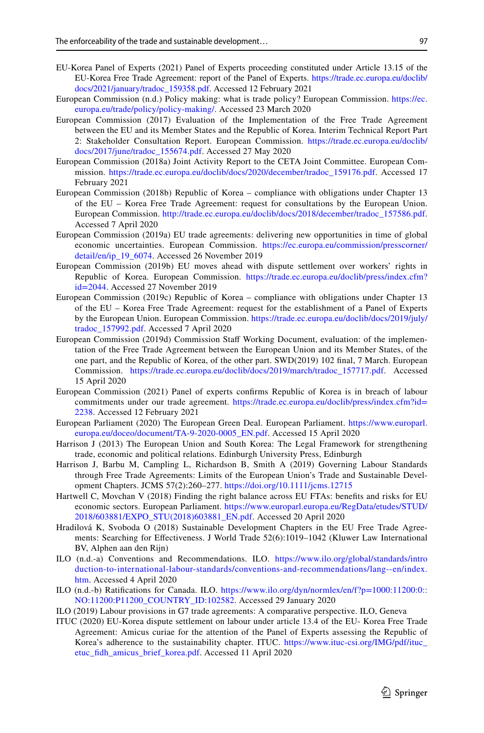- <span id="page-16-11"></span>EU-Korea Panel of Experts (2021) Panel of Experts proceeding constituted under Article 13.15 of the EU-Korea Free Trade Agreement: report of the Panel of Experts. [https://trade.ec.europa.eu/doclib/](https://trade.ec.europa.eu/doclib/docs/2021/january/tradoc_159358.pdf) [docs/2021/january/tradoc\\_159358.pdf](https://trade.ec.europa.eu/doclib/docs/2021/january/tradoc_159358.pdf). Accessed 12 February 2021
- <span id="page-16-5"></span>European Commission (n.d.) Policy making: what is trade policy? European Commission. [https://ec.](https://ec.europa.eu/trade/policy/policy-making/.) [europa.eu/trade/policy/policy-making/.](https://ec.europa.eu/trade/policy/policy-making/.) Accessed 23 March 2020
- <span id="page-16-13"></span>European Commission (2017) Evaluation of the Implementation of the Free Trade Agreement between the EU and its Member States and the Republic of Korea. Interim Technical Report Part 2: Stakeholder Consultation Report. European Commission. [https://trade.ec.europa.eu/doclib/](https://trade.ec.europa.eu/doclib/docs/2017/june/tradoc_155674.pdf) [docs/2017/june/tradoc\\_155674.pdf](https://trade.ec.europa.eu/doclib/docs/2017/june/tradoc_155674.pdf). Accessed 27 May 2020
- <span id="page-16-12"></span>European Commission (2018a) Joint Activity Report to the CETA Joint Committee. European Commission. [https://trade.ec.europa.eu/doclib/docs/2020/december/tradoc\\_159176.pdf.](https://trade.ec.europa.eu/doclib/docs/2020/december/tradoc_159176.pdf) Accessed 17 February 2021
- <span id="page-16-15"></span>European Commission (2018b) Republic of Korea – compliance with obligations under Chapter 13 of the EU – Korea Free Trade Agreement: request for consultations by the European Union. European Commission. [http://trade.ec.europa.eu/doclib/docs/2018/december/tradoc\\_157586.pdf](http://trade.ec.europa.eu/doclib/docs/2018/december/tradoc_157586.pdf). Accessed 7 April 2020
- <span id="page-16-0"></span>European Commission (2019a) EU trade agreements: delivering new opportunities in time of global economic uncertainties. European Commission. [https://ec.europa.eu/commission/presscorner/](https://ec.europa.eu/commission/presscorner/detail/en/ip_19_6074) [detail/en/ip\\_19\\_6074](https://ec.europa.eu/commission/presscorner/detail/en/ip_19_6074). Accessed 26 November 2019
- <span id="page-16-2"></span>European Commission (2019b) EU moves ahead with dispute settlement over workers' rights in Republic of Korea. European Commission. [https://trade.ec.europa.eu/doclib/press/index.cfm?](https://trade.ec.europa.eu/doclib/press/index.cfm?id=2044) [id=2044.](https://trade.ec.europa.eu/doclib/press/index.cfm?id=2044) Accessed 27 November 2019
- <span id="page-16-16"></span>European Commission (2019c) Republic of Korea – compliance with obligations under Chapter 13 of the EU – Korea Free Trade Agreement: request for the establishment of a Panel of Experts by the European Union. European Commission. [https://trade.ec.europa.eu/doclib/docs/2019/july/](https://trade.ec.europa.eu/doclib/docs/2019/july/tradoc_157992.pdf) [tradoc\\_157992.pdf.](https://trade.ec.europa.eu/doclib/docs/2019/july/tradoc_157992.pdf) Accessed 7 April 2020
- <span id="page-16-14"></span>European Commission (2019d) Commission Staf Working Document, evaluation: of the implementation of the Free Trade Agreement between the European Union and its Member States, of the one part, and the Republic of Korea, of the other part. SWD(2019) 102 fnal, 7 March. European Commission. [https://trade.ec.europa.eu/doclib/docs/2019/march/tradoc\\_157717.pdf.](https://trade.ec.europa.eu/doclib/docs/2019/march/tradoc_157717.pdf) Accessed 15 April 2020
- <span id="page-16-18"></span>European Commission (2021) Panel of experts confrms Republic of Korea is in breach of labour commitments under our trade agreement. [https://trade.ec.europa.eu/doclib/press/index.cfm?id=](https://trade.ec.europa.eu/doclib/press/index.cfm?id=2238) [2238](https://trade.ec.europa.eu/doclib/press/index.cfm?id=2238). Accessed 12 February 2021
- <span id="page-16-17"></span>European Parliament (2020) The European Green Deal. European Parliament. [https://www.europarl.](https://www.europarl.europa.eu/doceo/document/TA-9-2020-0005_EN.pdf) [europa.eu/doceo/document/TA-9-2020-0005\\_EN.pdf](https://www.europarl.europa.eu/doceo/document/TA-9-2020-0005_EN.pdf). Accessed 15 April 2020
- <span id="page-16-6"></span>Harrison J (2013) The European Union and South Korea: The Legal Framework for strengthening trade, economic and political relations. Edinburgh University Press, Edinburgh
- <span id="page-16-1"></span>Harrison J, Barbu M, Campling L, Richardson B, Smith A (2019) Governing Labour Standards through Free Trade Agreements: Limits of the European Union's Trade and Sustainable Development Chapters. JCMS 57(2):260–277. <https://doi.org/10.1111/jcms.12715>
- <span id="page-16-9"></span>Hartwell C, Movchan V (2018) Finding the right balance across EU FTAs: benefts and risks for EU economic sectors. European Parliament. [https://www.europarl.europa.eu/RegData/etudes/STUD/](https://www.europarl.europa.eu/RegData/etudes/STUD/2018/603881/EXPO_STU(2018)603881_EN.pdf) [2018/603881/EXPO\\_STU\(2018\)603881\\_EN.pdf](https://www.europarl.europa.eu/RegData/etudes/STUD/2018/603881/EXPO_STU(2018)603881_EN.pdf). Accessed 20 April 2020
- <span id="page-16-3"></span>Hradilová K, Svoboda O (2018) Sustainable Development Chapters in the EU Free Trade Agreements: Searching for Efectiveness. J World Trade 52(6):1019–1042 (Kluwer Law International BV, Alphen aan den Rijn)
- <span id="page-16-7"></span>ILO (n.d.-a) Conventions and Recommendations. ILO. [https://www.ilo.org/global/standards/intro](https://www.ilo.org/global/standards/introduction-to-international-labour-standards/conventions-and-recommendations/lang--en/index.htm) [duction-to-international-labour-standards/conventions-and-recommendations/lang--en/index.](https://www.ilo.org/global/standards/introduction-to-international-labour-standards/conventions-and-recommendations/lang--en/index.htm) [htm.](https://www.ilo.org/global/standards/introduction-to-international-labour-standards/conventions-and-recommendations/lang--en/index.htm) Accessed 4 April 2020
- <span id="page-16-8"></span>ILO (n.d.-b) Ratifcations for Canada. ILO. [https://www.ilo.org/dyn/normlex/en/f?p=1000:11200:0::](https://www.ilo.org/dyn/normlex/en/f?p=1000:11200:0::NO:11200:P11200_COUNTRY_ID:102582) [NO:11200:P11200\\_COUNTRY\\_ID:102582.](https://www.ilo.org/dyn/normlex/en/f?p=1000:11200:0::NO:11200:P11200_COUNTRY_ID:102582) Accessed 29 January 2020
- <span id="page-16-4"></span>ILO (2019) Labour provisions in G7 trade agreements: A comparative perspective. ILO, Geneva
- <span id="page-16-10"></span>ITUC (2020) EU-Korea dispute settlement on labour under article 13.4 of the EU- Korea Free Trade Agreement: Amicus curiae for the attention of the Panel of Experts assessing the Republic of Korea's adherence to the sustainability chapter. ITUC. [https://www.ituc-csi.org/IMG/pdf/ituc\\_](https://www.ituc-csi.org/IMG/pdf/ituc_etuc_fidh_amicus_brief_korea.pdf) [etuc\\_fdh\\_amicus\\_brief\\_korea.pdf](https://www.ituc-csi.org/IMG/pdf/ituc_etuc_fidh_amicus_brief_korea.pdf). Accessed 11 April 2020